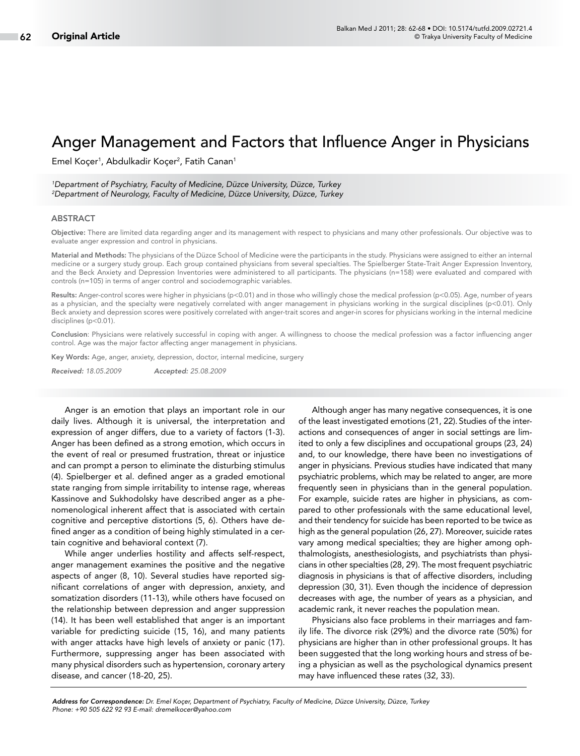# Anger Management and Factors that Influence Anger in Physicians

Emel Koçer<sup>1</sup>, Abdulkadir Koçer<sup>2</sup>, Fatih Canan<sup>1</sup>

*1 Department of Psychiatry, Faculty of Medicine, Düzce University, Düzce, Turkey 2 Department of Neurology, Faculty of Medicine, Düzce University, Düzce, Turkey*

#### ABSTRACT

Objective: There are limited data regarding anger and its management with respect to physicians and many other professionals. Our objective was to evaluate anger expression and control in physicians.

Material and Methods: The physicians of the Düzce School of Medicine were the participants in the study. Physicians were assigned to either an internal medicine or a surgery study group. Each group contained physicians from several specialties. The Spielberger State-Trait Anger Expression Inventory, and the Beck Anxiety and Depression Inventories were administered to all participants. The physicians (n=158) were evaluated and compared with controls (n=105) in terms of anger control and sociodemographic variables.

Results: Anger-control scores were higher in physicians (p<0.01) and in those who willingly chose the medical profession (p<0.05). Age, number of years as a physician, and the specialty were negatively correlated with anger management in physicians working in the surgical disciplines (p<0.01). Only Beck anxiety and depression scores were positively correlated with anger-trait scores and anger-in scores for physicians working in the internal medicine disciplines (p<0.01).

Conclusion: Physicians were relatively successful in coping with anger. A willingness to choose the medical profession was a factor influencing anger control. Age was the major factor affecting anger management in physicians.

Key Words: Age, anger, anxiety, depression, doctor, internal medicine, surgery

*Received: 18.05.2009 Accepted: 25.08.2009*

Anger is an emotion that plays an important role in our daily lives. Although it is universal, the interpretation and expression of anger differs, due to a variety of factors (1-3). Anger has been defined as a strong emotion, which occurs in the event of real or presumed frustration, threat or injustice and can prompt a person to eliminate the disturbing stimulus (4). Spielberger et al. defined anger as a graded emotional state ranging from simple irritability to intense rage, whereas Kassinove and Sukhodolsky have described anger as a phenomenological inherent affect that is associated with certain cognitive and perceptive distortions (5, 6). Others have defined anger as a condition of being highly stimulated in a certain cognitive and behavioral context (7).

While anger underlies hostility and affects self-respect, anger management examines the positive and the negative aspects of anger (8, 10). Several studies have reported significant correlations of anger with depression, anxiety, and somatization disorders (11-13), while others have focused on the relationship between depression and anger suppression (14). It has been well established that anger is an important variable for predicting suicide (15, 16), and many patients with anger attacks have high levels of anxiety or panic (17). Furthermore, suppressing anger has been associated with many physical disorders such as hypertension, coronary artery disease, and cancer (18-20, 25).

Although anger has many negative consequences, it is one of the least investigated emotions (21, 22). Studies of the interactions and consequences of anger in social settings are limited to only a few disciplines and occupational groups (23, 24) and, to our knowledge, there have been no investigations of anger in physicians. Previous studies have indicated that many psychiatric problems, which may be related to anger, are more frequently seen in physicians than in the general population. For example, suicide rates are higher in physicians, as compared to other professionals with the same educational level, and their tendency for suicide has been reported to be twice as high as the general population (26, 27). Moreover, suicide rates vary among medical specialties; they are higher among ophthalmologists, anesthesiologists, and psychiatrists than physicians in other specialties (28, 29). The most frequent psychiatric diagnosis in physicians is that of affective disorders, including depression (30, 31). Even though the incidence of depression decreases with age, the number of years as a physician, and academic rank, it never reaches the population mean.

Physicians also face problems in their marriages and family life. The divorce risk (29%) and the divorce rate (50%) for physicians are higher than in other professional groups. It has been suggested that the long working hours and stress of being a physician as well as the psychological dynamics present may have influenced these rates (32, 33).

*Address for Correspondence: Dr. Emel Koçer, Department of Psychiatry, Faculty of Medicine, Düzce University, Düzce, Turkey Phone: +90 505 622 92 93 E-mail: dremelkocer@yahoo.com*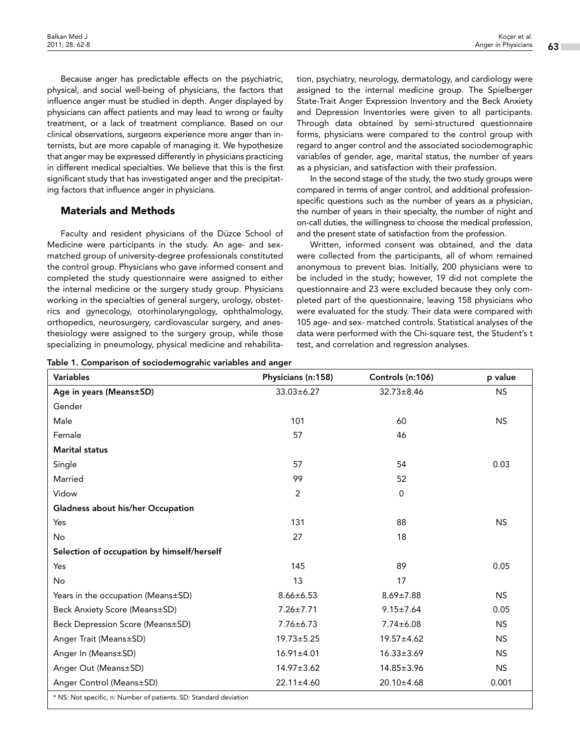Because anger has predictable effects on the psychiatric, physical, and social well-being of physicians, the factors that influence anger must be studied in depth. Anger displayed by physicians can affect patients and may lead to wrong or faulty treatment, or a lack of treatment compliance. Based on our clinical observations, surgeons experience more anger than internists, but are more capable of managing it. We hypothesize that anger may be expressed differently in physicians practicing in different medical specialties. We believe that this is the first significant study that has investigated anger and the precipitating factors that influence anger in physicians.

## Materials and Methods

Faculty and resident physicians of the Düzce School of Medicine were participants in the study. An age- and sexmatched group of university-degree professionals constituted the control group. Physicians who gave informed consent and completed the study questionnaire were assigned to either the internal medicine or the surgery study group. Physicians working in the specialties of general surgery, urology, obstetrics and gynecology, otorhinolaryngology, ophthalmology, orthopedics, neurosurgery, cardiovascular surgery, and anesthesiology were assigned to the surgery group, while those specializing in pneumology, physical medicine and rehabilita-

Table 1. Comparison of sociodemograhic variables and anger

tion, psychiatry, neurology, dermatology, and cardiology were assigned to the internal medicine group. The Spielberger State-Trait Anger Expression Inventory and the Beck Anxiety and Depression Inventories were given to all participants. Through data obtained by semi-structured questionnaire forms, physicians were compared to the control group with regard to anger control and the associated sociodemographic variables of gender, age, marital status, the number of years as a physician, and satisfaction with their profession.

In the second stage of the study, the two study groups were compared in terms of anger control, and additional professionspecific questions such as the number of years as a physician, the number of years in their specialty, the number of night and on-call duties, the willingness to choose the medical profession, and the present state of satisfaction from the profession.

Written, informed consent was obtained, and the data were collected from the participants, all of whom remained anonymous to prevent bias. Initially, 200 physicians were to be included in the study; however, 19 did not complete the questionnaire and 23 were excluded because they only completed part of the questionnaire, leaving 158 physicians who were evaluated for the study. Their data were compared with 105 age- and sex- matched controls. Statistical analyses of the data were performed with the Chi-square test, the Student's t test, and correlation and regression analyses.

| <b>Variables</b>                                                  | Physicians (n:158) | Controls (n:106) | p value   |
|-------------------------------------------------------------------|--------------------|------------------|-----------|
| Age in years (Means±SD)                                           | $33.03 \pm 6.27$   | $32.73 \pm 8.46$ | <b>NS</b> |
| Gender                                                            |                    |                  |           |
| Male                                                              | 101                | 60               | <b>NS</b> |
| Female                                                            | 57                 | 46               |           |
| <b>Marital status</b>                                             |                    |                  |           |
| Single                                                            | 57                 | 54               | 0.03      |
| Married                                                           | 99                 | 52               |           |
| Vidow                                                             | 2                  | 0                |           |
| Gladness about his/her Occupation                                 |                    |                  |           |
| Yes                                                               | 131                | 88               | <b>NS</b> |
| No                                                                | 27                 | 18               |           |
| Selection of occupation by himself/herself                        |                    |                  |           |
| Yes                                                               | 145                | 89               | 0.05      |
| No                                                                | 13                 | 17               |           |
| Years in the occupation (Means±SD)                                | $8.66 \pm 6.53$    | $8.69 \pm 7.88$  | <b>NS</b> |
| Beck Anxiety Score (Means±SD)                                     | $7.26 \pm 7.71$    | $9.15 \pm 7.64$  | 0.05      |
| Beck Depression Score (Means±SD)                                  | $7.76 \pm 6.73$    | $7.74 \pm 6.08$  | <b>NS</b> |
| Anger Trait (Means±SD)                                            | $19.73 \pm 5.25$   | $19.57 \pm 4.62$ | <b>NS</b> |
| Anger In (Means±SD)                                               | $16.91 \pm 4.01$   | $16.33 \pm 3.69$ | <b>NS</b> |
| Anger Out (Means±SD)                                              | $14.97 \pm 3.62$   | $14.85 \pm 3.96$ | <b>NS</b> |
| Anger Control (Means±SD)                                          | $22.11 \pm 4.60$   | 20.10±4.68       | 0.001     |
| * NS: Not specific, n: Number of patients. SD: Standard deviation |                    |                  |           |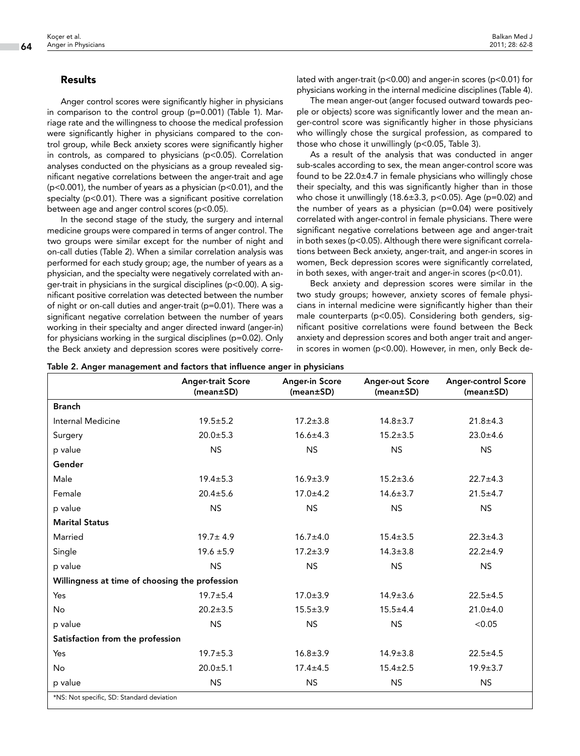### Results

Anger control scores were significantly higher in physicians in comparison to the control group (p=0.001) (Table 1). Marriage rate and the willingness to choose the medical profession were significantly higher in physicians compared to the control group, while Beck anxiety scores were significantly higher in controls, as compared to physicians (p<0.05). Correlation analyses conducted on the physicians as a group revealed significant negative correlations between the anger-trait and age (p<0.001), the number of years as a physician (p<0.01), and the specialty (p<0.01). There was a significant positive correlation between age and anger control scores (p<0.05).

In the second stage of the study, the surgery and internal medicine groups were compared in terms of anger control. The two groups were similar except for the number of night and on-call duties (Table 2). When a similar correlation analysis was performed for each study group; age, the number of years as a physician, and the specialty were negatively correlated with anger-trait in physicians in the surgical disciplines (p<0.00). A significant positive correlation was detected between the number of night or on-call duties and anger-trait (p=0.01). There was a significant negative correlation between the number of years working in their specialty and anger directed inward (anger-in) for physicians working in the surgical disciplines (p=0.02). Only the Beck anxiety and depression scores were positively corre-

The mean anger-out (anger focused outward towards people or objects) score was significantly lower and the mean anger-control score was significantly higher in those physicians who willingly chose the surgical profession, as compared to those who chose it unwillingly (p<0.05, Table 3).

As a result of the analysis that was conducted in anger sub-scales according to sex, the mean anger-control score was found to be 22.0±4.7 in female physicians who willingly chose their specialty, and this was significantly higher than in those who chose it unwillingly (18.6±3.3, p<0.05). Age (p=0.02) and the number of years as a physician (p=0.04) were positively correlated with anger-control in female physicians. There were significant negative correlations between age and anger-trait in both sexes (p<0.05). Although there were significant correlations between Beck anxiety, anger-trait, and anger-in scores in women, Beck depression scores were significantly correlated, in both sexes, with anger-trait and anger-in scores (p<0.01).

Beck anxiety and depression scores were similar in the two study groups; however, anxiety scores of female physicians in internal medicine were significantly higher than their male counterparts (p<0.05). Considering both genders, significant positive correlations were found between the Beck anxiety and depression scores and both anger trait and angerin scores in women (p<0.00). However, in men, only Beck de-

|                                                | <b>Anger-trait Score</b><br>(mean±SD) | <b>Anger-in Score</b><br>$(mean \pm SD)$ | <b>Anger-out Score</b><br>$(mean \pm SD)$ | <b>Anger-control Score</b><br>$(mean \pm SD)$ |  |  |  |
|------------------------------------------------|---------------------------------------|------------------------------------------|-------------------------------------------|-----------------------------------------------|--|--|--|
| <b>Branch</b>                                  |                                       |                                          |                                           |                                               |  |  |  |
| Internal Medicine                              | $19.5 \pm 5.2$                        | $17.2 \pm 3.8$                           | $14.8 \pm 3.7$                            | $21.8 \pm 4.3$                                |  |  |  |
| Surgery                                        | $20.0 + 5.3$                          | $16.6 \pm 4.3$                           | $15.2 \pm 3.5$                            | $23.0 \pm 4.6$                                |  |  |  |
| p value                                        | <b>NS</b>                             | <b>NS</b>                                | <b>NS</b>                                 | <b>NS</b>                                     |  |  |  |
| Gender                                         |                                       |                                          |                                           |                                               |  |  |  |
| Male                                           | $19.4 \pm 5.3$                        | $16.9 \pm 3.9$                           | $15.2 \pm 3.6$                            | $22.7 \pm 4.3$                                |  |  |  |
| Female                                         | $20.4 \pm 5.6$                        | $17.0 \pm 4.2$                           | $14.6 \pm 3.7$                            | $21.5 \pm 4.7$                                |  |  |  |
| p value                                        | <b>NS</b>                             | <b>NS</b>                                | <b>NS</b>                                 | <b>NS</b>                                     |  |  |  |
| <b>Marital Status</b>                          |                                       |                                          |                                           |                                               |  |  |  |
| Married                                        | $19.7 \pm 4.9$                        | $16.7 \pm 4.0$                           | $15.4 \pm 3.5$                            | $22.3 \pm 4.3$                                |  |  |  |
| Single                                         | $19.6 \pm 5.9$                        | $17.2 \pm 3.9$                           | $14.3 \pm 3.8$                            | $22.2 \pm 4.9$                                |  |  |  |
| p value                                        | <b>NS</b>                             | <b>NS</b>                                | <b>NS</b>                                 | <b>NS</b>                                     |  |  |  |
| Willingness at time of choosing the profession |                                       |                                          |                                           |                                               |  |  |  |
| Yes                                            | $19.7 \pm 5.4$                        | $17.0 \pm 3.9$                           | $14.9 \pm 3.6$                            | $22.5 \pm 4.5$                                |  |  |  |
| No                                             | $20.2 \pm 3.5$                        | $15.5 \pm 3.9$                           | $15.5 \pm 4.4$                            | $21.0 \pm 4.0$                                |  |  |  |
| p value                                        | <b>NS</b>                             | <b>NS</b>                                | <b>NS</b>                                 | < 0.05                                        |  |  |  |
| Satisfaction from the profession               |                                       |                                          |                                           |                                               |  |  |  |
| Yes                                            | $19.7 \pm 5.3$                        | $16.8 \pm 3.9$                           | $14.9 \pm 3.8$                            | $22.5 \pm 4.5$                                |  |  |  |
| No                                             | $20.0 \pm 5.1$                        | $17.4 \pm 4.5$                           | $15.4 \pm 2.5$                            | $19.9 \pm 3.7$                                |  |  |  |
| p value                                        | <b>NS</b>                             | <b>NS</b>                                | <b>NS</b>                                 | <b>NS</b>                                     |  |  |  |
| *NS: Not specific. SD: Standard deviation      |                                       |                                          |                                           |                                               |  |  |  |

| Table 2. Anger management and factors that influence anger in physicians |  |  |
|--------------------------------------------------------------------------|--|--|
|                                                                          |  |  |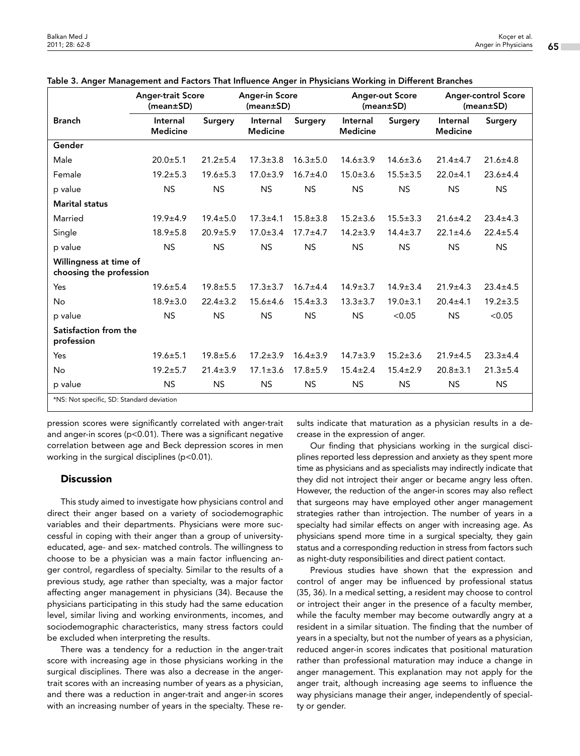|                                                   | <b>Anger-trait Score</b><br>$(mean \pm SD)$ |                | <b>Anger-in Score</b><br>$(mean \pm SD)$ |                | <b>Anger-out Score</b><br>$(mean \pm SD)$ |                | <b>Anger-control Score</b><br>$(mean \pm SD)$ |                |
|---------------------------------------------------|---------------------------------------------|----------------|------------------------------------------|----------------|-------------------------------------------|----------------|-----------------------------------------------|----------------|
| <b>Branch</b>                                     | Internal<br><b>Medicine</b>                 | Surgery        | Internal<br><b>Medicine</b>              | Surgery        | Internal<br><b>Medicine</b>               | Surgery        | Internal<br><b>Medicine</b>                   | Surgery        |
| Gender                                            |                                             |                |                                          |                |                                           |                |                                               |                |
| Male                                              | $20.0 \pm 5.1$                              | $21.2 \pm 5.4$ | $17.3 \pm 3.8$                           | $16.3 \pm 5.0$ | $14.6 \pm 3.9$                            | $14.6 \pm 3.6$ | $21.4 \pm 4.7$                                | $21.6 \pm 4.8$ |
| Female                                            | $19.2 \pm 5.3$                              | $19.6 \pm 5.3$ | $17.0 \pm 3.9$                           | $16.7 \pm 4.0$ | $15.0 \pm 3.6$                            | $15.5 \pm 3.5$ | $22.0 \pm 4.1$                                | $23.6 \pm 4.4$ |
| p value                                           | <b>NS</b>                                   | <b>NS</b>      | <b>NS</b>                                | <b>NS</b>      | <b>NS</b>                                 | <b>NS</b>      | <b>NS</b>                                     | <b>NS</b>      |
| <b>Marital status</b>                             |                                             |                |                                          |                |                                           |                |                                               |                |
| Married                                           | $19.9 \pm 4.9$                              | $19.4 \pm 5.0$ | $17.3 \pm 4.1$                           | $15.8 \pm 3.8$ | $15.2 \pm 3.6$                            | $15.5 \pm 3.3$ | $21.6 \pm 4.2$                                | $23.4 \pm 4.3$ |
| Single                                            | $18.9 \pm 5.8$                              | $20.9 \pm 5.9$ | $17.0 \pm 3.4$                           | $17.7 + 4.7$   | $14.2 \pm 3.9$                            | $14.4 \pm 3.7$ | $22.1 \pm 4.6$                                | $22.4 \pm 5.4$ |
| p value                                           | <b>NS</b>                                   | <b>NS</b>      | <b>NS</b>                                | <b>NS</b>      | <b>NS</b>                                 | <b>NS</b>      | <b>NS</b>                                     | <b>NS</b>      |
| Willingness at time of<br>choosing the profession |                                             |                |                                          |                |                                           |                |                                               |                |
| Yes                                               | $19.6 \pm 5.4$                              | $19.8 \pm 5.5$ | $17.3 \pm 3.7$                           | $16.7 + 4.4$   | $14.9 \pm 3.7$                            | $14.9 \pm 3.4$ | $21.9 \pm 4.3$                                | $23.4 \pm 4.5$ |
| No                                                | $18.9 \pm 3.0$                              | $22.4 \pm 3.2$ | $15.6 \pm 4.6$                           | $15.4 \pm 3.3$ | $13.3 \pm 3.7$                            | $19.0 \pm 3.1$ | $20.4 \pm 4.1$                                | $19.2 \pm 3.5$ |
| p value                                           | <b>NS</b>                                   | <b>NS</b>      | <b>NS</b>                                | <b>NS</b>      | <b>NS</b>                                 | < 0.05         | <b>NS</b>                                     | < 0.05         |
| Satisfaction from the<br>profession               |                                             |                |                                          |                |                                           |                |                                               |                |
| Yes                                               | $19.6 \pm 5.1$                              | $19.8 \pm 5.6$ | $17.2 \pm 3.9$                           | $16.4 \pm 3.9$ | $14.7 \pm 3.9$                            | $15.2 \pm 3.6$ | $21.9 \pm 4.5$                                | $23.3 \pm 4.4$ |
| No                                                | $19.2 \pm 5.7$                              | $21.4 \pm 3.9$ | $17.1 \pm 3.6$                           | $17.8 \pm 5.9$ | $15.4 \pm 2.4$                            | $15.4 \pm 2.9$ | $20.8 \pm 3.1$                                | $21.3 \pm 5.4$ |
| p value                                           | <b>NS</b>                                   | <b>NS</b>      | <b>NS</b>                                | <b>NS</b>      | <b>NS</b>                                 | <b>NS</b>      | <b>NS</b>                                     | <b>NS</b>      |
| *NS: Not specific, SD: Standard deviation         |                                             |                |                                          |                |                                           |                |                                               |                |

Table 3. Anger Management and Factors That Influence Anger in Physicians Working in Different Branches

pression scores were significantly correlated with anger-trait and anger-in scores (p<0.01). There was a significant negative correlation between age and Beck depression scores in men working in the surgical disciplines (p<0.01).

## **Discussion**

This study aimed to investigate how physicians control and direct their anger based on a variety of sociodemographic variables and their departments. Physicians were more successful in coping with their anger than a group of universityeducated, age- and sex- matched controls. The willingness to choose to be a physician was a main factor influencing anger control, regardless of specialty. Similar to the results of a previous study, age rather than specialty, was a major factor affecting anger management in physicians (34). Because the physicians participating in this study had the same education level, similar living and working environments, incomes, and sociodemographic characteristics, many stress factors could be excluded when interpreting the results.

There was a tendency for a reduction in the anger-trait score with increasing age in those physicians working in the surgical disciplines. There was also a decrease in the angertrait scores with an increasing number of years as a physician, and there was a reduction in anger-trait and anger-in scores with an increasing number of years in the specialty. These results indicate that maturation as a physician results in a decrease in the expression of anger.

Our finding that physicians working in the surgical disciplines reported less depression and anxiety as they spent more time as physicians and as specialists may indirectly indicate that they did not introject their anger or became angry less often. However, the reduction of the anger-in scores may also reflect that surgeons may have employed other anger management strategies rather than introjection. The number of years in a specialty had similar effects on anger with increasing age. As physicians spend more time in a surgical specialty, they gain status and a corresponding reduction in stress from factors such as night-duty responsibilities and direct patient contact.

Previous studies have shown that the expression and control of anger may be influenced by professional status (35, 36). In a medical setting, a resident may choose to control or introject their anger in the presence of a faculty member, while the faculty member may become outwardly angry at a resident in a similar situation. The finding that the number of years in a specialty, but not the number of years as a physician, reduced anger-in scores indicates that positional maturation rather than professional maturation may induce a change in anger management. This explanation may not apply for the anger trait, although increasing age seems to influence the way physicians manage their anger, independently of specialty or gender.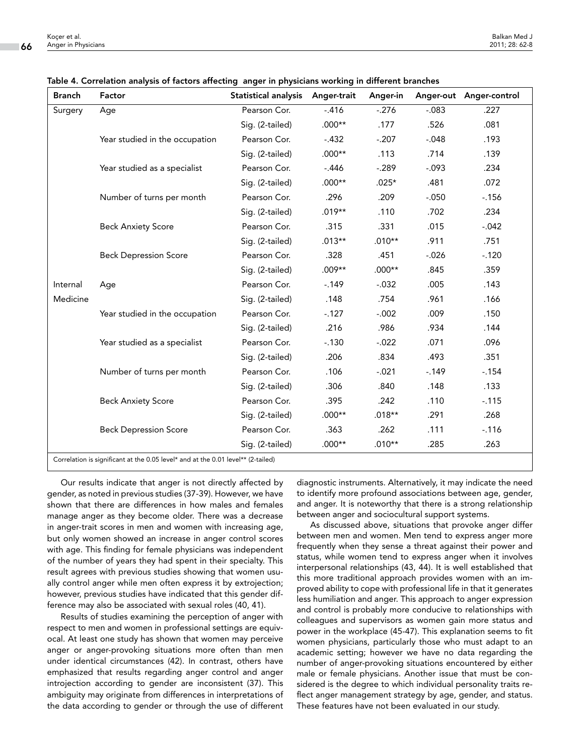| <b>Branch</b> | Factor                         | <b>Statistical analysis</b> | Anger-trait | Anger-in |          | Anger-out Anger-control |
|---------------|--------------------------------|-----------------------------|-------------|----------|----------|-------------------------|
| Surgery       | Age                            | Pearson Cor.                | $-.416$     | $-.276$  | $-.083$  | .227                    |
|               |                                | Sig. (2-tailed)             | $.000**$    | .177     | .526     | .081                    |
|               | Year studied in the occupation | Pearson Cor.                | $-.432$     | $-.207$  | $-.048$  | .193                    |
|               |                                | Sig. (2-tailed)             | $.000**$    | .113     | .714     | .139                    |
|               | Year studied as a specialist   | Pearson Cor.                | $-0.446$    | $-.289$  | $-.093$  | .234                    |
|               |                                | Sig. (2-tailed)             | $.000**$    | $.025*$  | .481     | .072                    |
|               | Number of turns per month      | Pearson Cor.                | .296        | .209     | $-.050$  | $-0.156$                |
|               |                                | Sig. (2-tailed)             | $.019**$    | .110     | .702     | .234                    |
|               | <b>Beck Anxiety Score</b>      | Pearson Cor.                | .315        | .331     | .015     | $-.042$                 |
|               |                                | Sig. (2-tailed)             | $.013**$    | $.010**$ | .911     | .751                    |
|               | <b>Beck Depression Score</b>   | Pearson Cor.                | .328        | .451     | $-0.026$ | $-.120$                 |
|               |                                | Sig. (2-tailed)             | $.009**$    | $.000**$ | .845     | .359                    |
| Internal      | Age                            | Pearson Cor.                | $-149$      | $-.032$  | .005     | .143                    |
| Medicine      |                                | Sig. (2-tailed)             | .148        | .754     | .961     | .166                    |
|               | Year studied in the occupation | Pearson Cor.                | $-127$      | $-.002$  | .009     | .150                    |
|               |                                | Sig. (2-tailed)             | .216        | .986     | .934     | .144                    |
|               | Year studied as a specialist   | Pearson Cor.                | $-130$      | $-0.022$ | .071     | .096                    |
|               |                                | Sig. (2-tailed)             | .206        | .834     | .493     | .351                    |
|               | Number of turns per month      | Pearson Cor.                | .106        | $-.021$  | $-.149$  | $-154$                  |
|               |                                | Sig. (2-tailed)             | .306        | .840     | .148     | .133                    |
|               | <b>Beck Anxiety Score</b>      | Pearson Cor.                | .395        | .242     | .110     | $-.115$                 |
|               |                                | Sig. (2-tailed)             | $.000**$    | $.018**$ | .291     | .268                    |
|               | <b>Beck Depression Score</b>   | Pearson Cor.                | .363        | .262     | .111     | $-.116$                 |
|               |                                | Sig. (2-tailed)             | $.000**$    | $.010**$ | .285     | .263                    |

Table 4. Correlation analysis of factors affecting anger in physicians working in different branches

Our results indicate that anger is not directly affected by gender, as noted in previous studies (37-39). However, we have shown that there are differences in how males and females manage anger as they become older. There was a decrease in anger-trait scores in men and women with increasing age, but only women showed an increase in anger control scores with age. This finding for female physicians was independent of the number of years they had spent in their specialty. This result agrees with previous studies showing that women usually control anger while men often express it by extrojection; however, previous studies have indicated that this gender difference may also be associated with sexual roles (40, 41).

Results of studies examining the perception of anger with respect to men and women in professional settings are equivocal. At least one study has shown that women may perceive anger or anger-provoking situations more often than men under identical circumstances (42). In contrast, others have emphasized that results regarding anger control and anger introjection according to gender are inconsistent (37). This ambiguity may originate from differences in interpretations of the data according to gender or through the use of different diagnostic instruments. Alternatively, it may indicate the need to identify more profound associations between age, gender, and anger. It is noteworthy that there is a strong relationship between anger and sociocultural support systems.

As discussed above, situations that provoke anger differ between men and women. Men tend to express anger more frequently when they sense a threat against their power and status, while women tend to express anger when it involves interpersonal relationships (43, 44). It is well established that this more traditional approach provides women with an improved ability to cope with professional life in that it generates less humiliation and anger. This approach to anger expression and control is probably more conducive to relationships with colleagues and supervisors as women gain more status and power in the workplace (45-47). This explanation seems to fit women physicians, particularly those who must adapt to an academic setting; however we have no data regarding the number of anger-provoking situations encountered by either male or female physicians. Another issue that must be considered is the degree to which individual personality traits reflect anger management strategy by age, gender, and status. These features have not been evaluated in our study.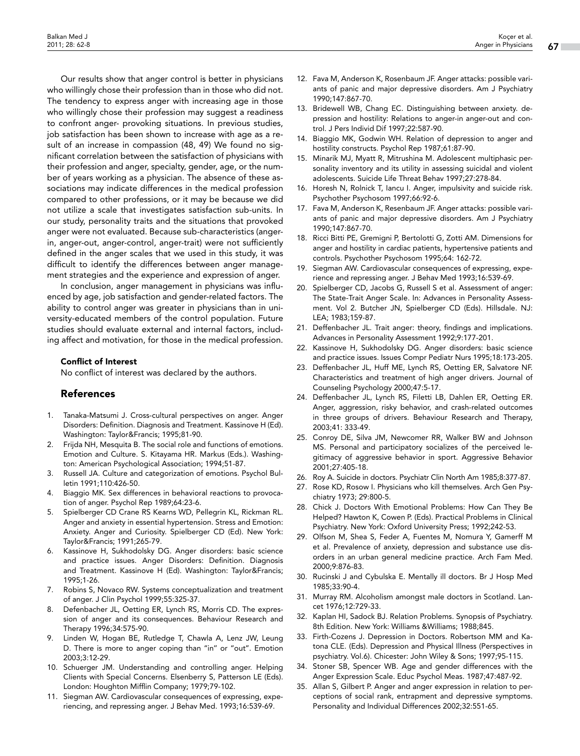Our results show that anger control is better in physicians who willingly chose their profession than in those who did not. The tendency to express anger with increasing age in those who willingly chose their profession may suggest a readiness to confront anger- provoking situations. In previous studies, job satisfaction has been shown to increase with age as a result of an increase in compassion (48, 49) We found no significant correlation between the satisfaction of physicians with their profession and anger, specialty, gender, age, or the number of years working as a physician. The absence of these associations may indicate differences in the medical profession compared to other professions, or it may be because we did not utilize a scale that investigates satisfaction sub-units. In our study, personality traits and the situations that provoked anger were not evaluated. Because sub-characteristics (angerin, anger-out, anger-control, anger-trait) were not sufficiently defined in the anger scales that we used in this study, it was difficult to identify the differences between anger management strategies and the experience and expression of anger.

In conclusion, anger management in physicians was influenced by age, job satisfaction and gender-related factors. The ability to control anger was greater in physicians than in university-educated members of the control population. Future studies should evaluate external and internal factors, including affect and motivation, for those in the medical profession.

#### Conflict of Interest

No conflict of interest was declared by the authors.

#### References

- 1. Tanaka-Matsumi J. Cross-cultural perspectives on anger. Anger Disorders: Definition. Diagnosis and Treatment. Kassinove H (Ed). Washington: Taylor&Francis; 1995;81-90.
- 2. Frijda NH, Mesquita B. The social role and functions of emotions. Emotion and Culture. S. Kitayama HR. Markus (Eds.). Washington: American Psychological Association; 1994;51-87.
- 3. Russell JA. Culture and categorization of emotions. Psychol Bulletin 1991;110:426-50.
- 4. Biaggio MK. Sex differences in behavioral reactions to provocation of anger. Psychol Rep 1989;64:23-6.
- 5. Spielberger CD Crane RS Kearns WD, Pellegrin KL, Rickman RL. Anger and anxiety in essential hypertension. Stress and Emotion: Anxiety. Anger and Curiosity. Spielberger CD (Ed). New York: Taylor&Francis; 1991;265-79.
- 6. Kassinove H, Sukhodolsky DG. Anger disorders: basic science and practice issues. Anger Disorders: Definition. Diagnosis and Treatment. Kassinove H (Ed). Washington: Taylor&Francis; 1995;1-26.
- 7. Robins S, Novaco RW. Systems conceptualization and treatment of anger. J Clin Psychol 1999;55:325-37.
- Defenbacher JL, Oetting ER, Lynch RS, Morris CD. The expression of anger and its consequences. Behaviour Research and Therapy 1996;34:575-90.
- 9. Linden W, Hogan BE, Rutledge T, Chawla A, Lenz JW, Leung D. There is more to anger coping than ''in'' or ''out''. Emotion 2003;3:12-29.
- 10. Schuerger JM. Understanding and controlling anger. Helping Clients with Special Concerns. Elsenberry S, Patterson LE (Eds). London: Houghton Mifflin Company; 1979;79-102.
- 11. Siegman AW. Cardiovascular consequences of expressing, experiencing, and repressing anger. J Behav Med. 1993;16:539-69.
- 1990;147:867-70. 13. Bridewell WB, Chang EC. Distinguishing between anxiety. depression and hostility: Relations to anger-in anger-out and control. J Pers Individ Dif 1997;22:587-90.
- 14. Biaggio MK, Godwin WH. Relation of depression to anger and hostility constructs. Psychol Rep 1987;61:87-90.
- 15. Minarik MJ, Myatt R, Mitrushina M. Adolescent multiphasic personality inventory and its utility in assessing suicidal and violent adolescents. Suicide Life Threat Behav 1997;27:278-84.
- 16. Horesh N, Rolnick T, Iancu I. Anger, impulsivity and suicide risk. Psychother Psychosom 1997;66:92-6.
- 17. Fava M, Anderson K, Resenbaum JF. Anger attacks: possible variants of panic and major depressive disorders. Am J Psychiatry 1990;147:867-70.
- 18. Ricci Bitti PE, Gremigni P, Bertolotti G, Zotti AM. Dimensions for anger and hostility in cardiac patients, hypertensive patients and controls. Psychother Psychosom 1995;64: 162-72.
- 19. Siegman AW. Cardiovascular consequences of expressing, experience and repressing anger. J Behav Med 1993;16:539-69.
- 20. Spielberger CD, Jacobs G, Russell S et al. Assessment of anger: The State-Trait Anger Scale. In: Advances in Personality Assessment. Vol 2. Butcher JN, Spielberger CD (Eds). Hillsdale. NJ: LEA; 1983;159-87.
- 21. Deffenbacher JL. Trait anger: theory, findings and implications. Advances in Personality Assessment 1992;9:177-201.
- 22. Kassinove H, Sukhodolsky DG. Anger disorders: basic science and practice issues. Issues Compr Pediatr Nurs 1995;18:173-205.
- 23. Deffenbacher JL, Huff ME, Lynch RS, Oetting ER, Salvatore NF. Characteristics and treatment of high anger drivers. Journal of Counseling Psychology 2000;47:5-17.
- 24. Deffenbacher JL, Lynch RS, Filetti LB, Dahlen ER, Oetting ER. Anger, aggression, risky behavior, and crash-related outcomes in three groups of drivers. Behaviour Research and Therapy, 2003;41: 333-49.
- 25. Conroy DE, Silva JM, Newcomer RR, Walker BW and Johnson MS. Personal and participatory socializes of the perceived legitimacy of aggressive behavior in sport. Aggressive Behavior 2001;27:405-18.
- 26. Roy A. Suicide in doctors. Psychiatr Clin North Am 1985;8:377-87.
- 27. Rose KD, Rosow I. Physicians who kill themselves. Arch Gen Psychiatry 1973; 29:800-5.
- 28. Chick J. Doctors With Emotional Problems: How Can They Be Helped? Hawton K, Cowen P. (Eds). Practical Problems in Clinical Psychiatry. New York: Oxford University Press; 1992;242-53.
- 29. Olfson M, Shea S, Feder A, Fuentes M, Nomura Y, Gamerff M et al. Prevalence of anxiety, depression and substance use disorders in an urban general medicine practice. Arch Fam Med. 2000;9:876-83.
- 30. Rucinski J and Cybulska E. Mentally ill doctors. Br J Hosp Med 1985;33:90-4.
- 31. Murray RM. Alcoholism amongst male doctors in Scotland. Lancet 1976;12:729-33.
- 32. Kaplan HI, Sadock BJ. Relation Problems. Synopsis of Psychiatry. 8th Edition. New York: Williams &Williams; 1988;845.
- 33. Firth-Cozens J. Depression in Doctors. Robertson MM and Katona CLE. (Eds). Depression and Physical Illness (Perspectives in psychiatry. Vol.6). Chicester: John Wiley & Sons; 1997;95-115.
- 34. Stoner SB, Spencer WB. Age and gender differences with the Anger Expression Scale. Educ Psychol Meas. 1987;47:487-92.
- 35. Allan S, Gilbert P. Anger and anger expression in relation to perceptions of social rank, entrapment and depressive symptoms. Personality and Individual Differences 2002;32:551-65.